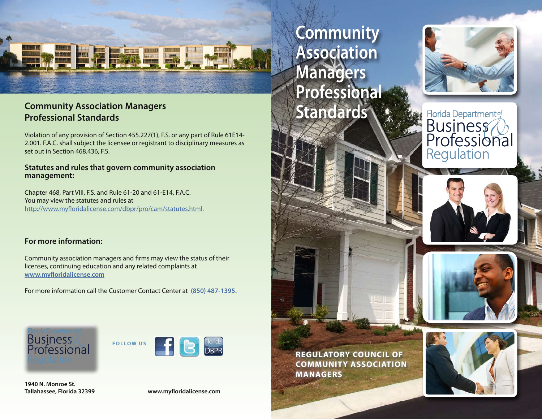

## **Community Association Managers**<br> **Standards** Professional Standards **Professional Standards**

Violation of any provision of Section 455.227(1), F.S. or any part of Rule 61E14- 2.001. F.A.C. shall subject the licensee or registrant to disciplinary measures as set out in Section 468.436, F.S.

#### **Statutes and rules that govern community association management:**

Chapter 468, Part VIII, F.S. and Rule 61-20 and 61-E14, F.A.C. You may view the statutes and rules at http://www.myforidalicense.com/dbpr/pro/cam/statutes.html.

#### **For more information:**

Community association managers and frms may view the status of their licenses, continuing education and any related complaints at **www.myforidalicense.com** 

For more information call the Customer Contact Center at **(850) 487-1395.** 





Tallahassee, Florida 32399 **1940 N. Monroe St.** 

www.myfloridalicense.com

**Community Association Managers Professional** 









 **REGULATORY COUNCIL OF COMMUNITY ASSOCIATION MANAGERS**